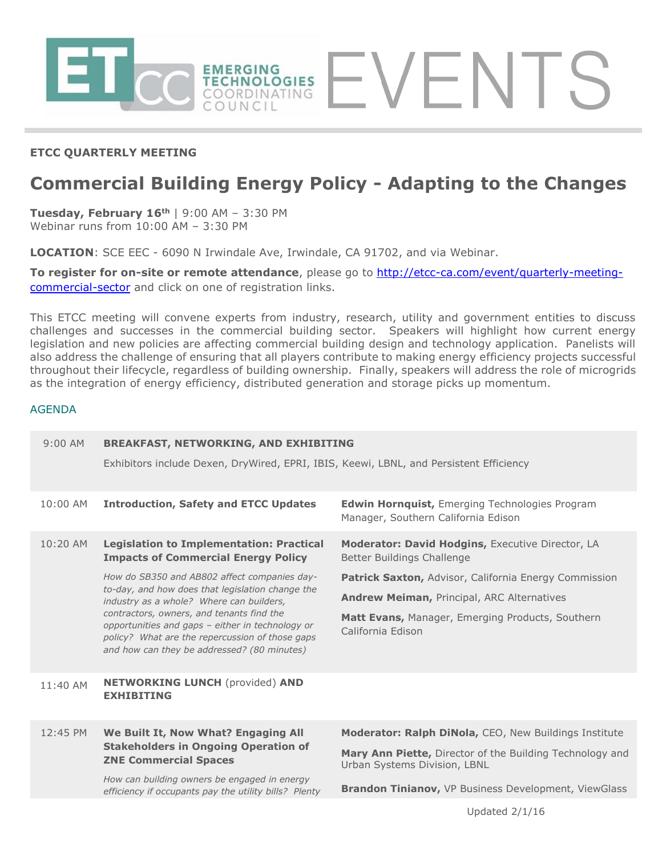

## **ETCC QUARTERLY MEETING**

# **Commercial Building Energy Policy - Adapting to the Changes**

**Tuesday, February 16th** | 9:00 AM – 3:30 PM Webinar runs from 10:00 AM – 3:30 PM

**LOCATION**: SCE EEC - 6090 N Irwindale Ave, Irwindale, CA 91702, and via Webinar.

**To register for on-site or remote attendance**, please go to [http://etcc-ca.com/event/quarterly-meeting](http://etcc-ca.com/event/quarterly-meeting-commercial-sector)[commercial-sector](http://etcc-ca.com/event/quarterly-meeting-commercial-sector) and click on one of registration links.

This ETCC meeting will convene experts from industry, research, utility and government entities to discuss challenges and successes in the commercial building sector. Speakers will highlight how current energy legislation and new policies are affecting commercial building design and technology application. Panelists will also address the challenge of ensuring that all players contribute to making energy efficiency projects successful throughout their lifecycle, regardless of building ownership. Finally, speakers will address the role of microgrids as the integration of energy efficiency, distributed generation and storage picks up momentum.

### AGENDA

| $9:00$ AM  | <b>BREAKFAST, NETWORKING, AND EXHIBITING</b>                                                                                                                                                                                                                                                                                                                                                                                                     |                                                                                                                                                                                                                                                                              |
|------------|--------------------------------------------------------------------------------------------------------------------------------------------------------------------------------------------------------------------------------------------------------------------------------------------------------------------------------------------------------------------------------------------------------------------------------------------------|------------------------------------------------------------------------------------------------------------------------------------------------------------------------------------------------------------------------------------------------------------------------------|
|            | Exhibitors include Dexen, DryWired, EPRI, IBIS, Keewi, LBNL, and Persistent Efficiency                                                                                                                                                                                                                                                                                                                                                           |                                                                                                                                                                                                                                                                              |
| 10:00 AM   | <b>Introduction, Safety and ETCC Updates</b>                                                                                                                                                                                                                                                                                                                                                                                                     | <b>Edwin Hornquist, Emerging Technologies Program</b><br>Manager, Southern California Edison                                                                                                                                                                                 |
| $10:20$ AM | <b>Legislation to Implementation: Practical</b><br><b>Impacts of Commercial Energy Policy</b><br>How do SB350 and AB802 affect companies day-<br>to-day, and how does that legislation change the<br>industry as a whole? Where can builders,<br>contractors, owners, and tenants find the<br>opportunities and gaps - either in technology or<br>policy? What are the repercussion of those gaps<br>and how can they be addressed? (80 minutes) | Moderator: David Hodgins, Executive Director, LA<br>Better Buildings Challenge<br><b>Patrick Saxton, Advisor, California Energy Commission</b><br><b>Andrew Meiman, Principal, ARC Alternatives</b><br>Matt Evans, Manager, Emerging Products, Southern<br>California Edison |
| $11:40$ AM | <b>NETWORKING LUNCH (provided) AND</b><br><b>EXHIBITING</b>                                                                                                                                                                                                                                                                                                                                                                                      |                                                                                                                                                                                                                                                                              |
| 12:45 PM   | We Built It, Now What? Engaging All<br><b>Stakeholders in Ongoing Operation of</b><br><b>ZNE Commercial Spaces</b><br>How can building owners be engaged in energy<br>efficiency if occupants pay the utility bills? Plenty                                                                                                                                                                                                                      | Moderator: Ralph DiNola, CEO, New Buildings Institute<br>Mary Ann Piette, Director of the Building Technology and<br>Urban Systems Division, LBNL<br>Brandon Tinianov, VP Business Development, ViewGlass                                                                    |
|            |                                                                                                                                                                                                                                                                                                                                                                                                                                                  |                                                                                                                                                                                                                                                                              |